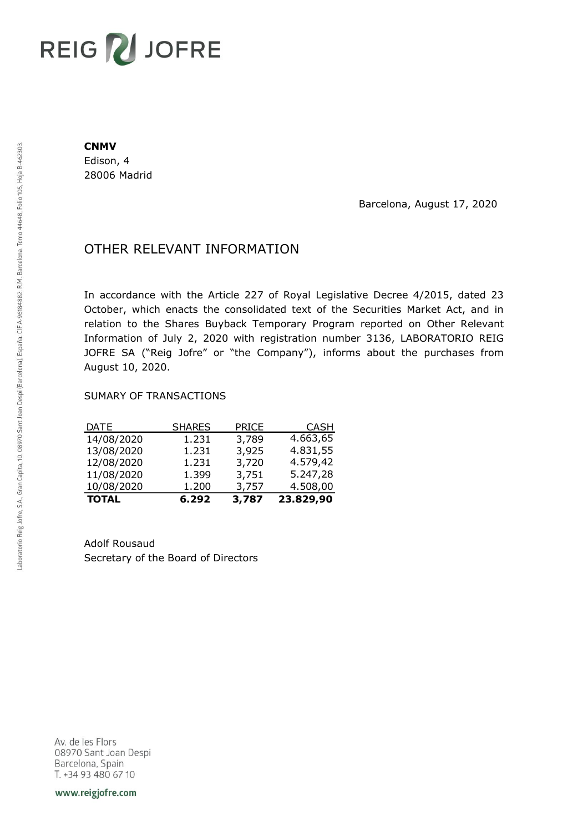# REIG V JOFRE

#### **CNMV**

Edison, 4 28006 Madrid

Barcelona, August 17, 2020

## OTHER RELEVANT INFORMATION

In accordance with the Article 227 of Royal Legislative Decree 4/2015, dated 23 October, which enacts the consolidated text of the Securities Market Act, and in relation to the Shares Buyback Temporary Program reported on Other Relevant Information of July 2, 2020 with registration number 3136, LABORATORIO REIG JOFRE SA ("Reig Jofre" or "the Company"), informs about the purchases from August 10, 2020.

### SUMARY OF TRANSACTIONS

| <b>TOTAL</b> | 6.292         | 3,787        | 23.829,90   |
|--------------|---------------|--------------|-------------|
| 10/08/2020   | 1.200         | 3,757        | 4.508,00    |
| 11/08/2020   | 1.399         | 3,751        | 5.247,28    |
| 12/08/2020   | 1.231         | 3,720        | 4.579,42    |
| 13/08/2020   | 1.231         | 3,925        | 4.831,55    |
| 14/08/2020   | 1.231         | 3,789        | 4.663,65    |
| DATE         | <b>SHARES</b> | <b>PRICE</b> | <b>CASH</b> |

Adolf Rousaud Secretary of the Board of Directors

Av. de les Flors 08970 Sant Joan Despi Barcelona, Spain T. +34 93 480 67 10

www.reigjofre.com